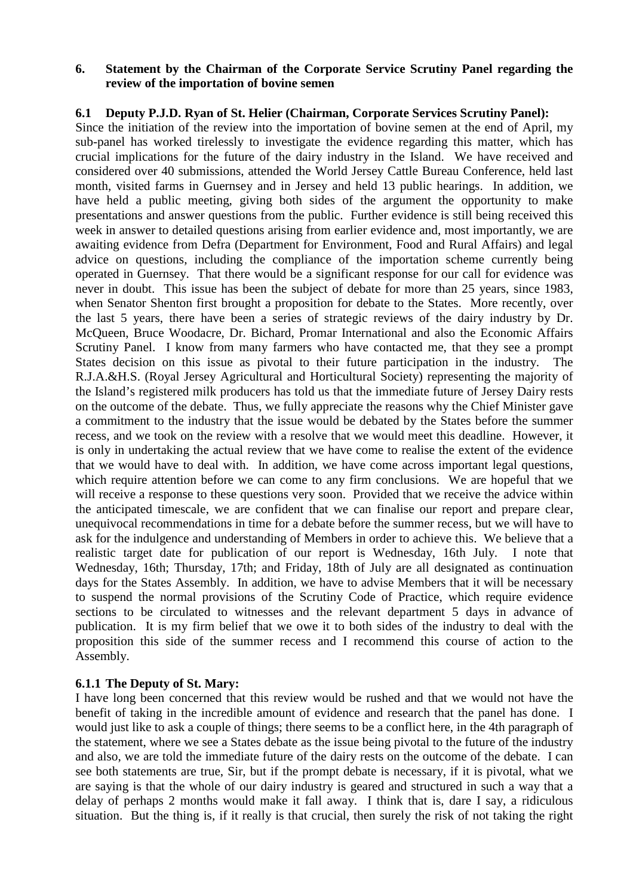#### **6. Statement by the Chairman of the Corporate Service Scrutiny Panel regarding the review of the importation of bovine semen**

## **6.1 Deputy P.J.D. Ryan of St. Helier (Chairman, Corporate Services Scrutiny Panel):**

Since the initiation of the review into the importation of bovine semen at the end of April, my sub-panel has worked tirelessly to investigate the evidence regarding this matter, which has crucial implications for the future of the dairy industry in the Island. We have received and considered over 40 submissions, attended the World Jersey Cattle Bureau Conference, held last month, visited farms in Guernsey and in Jersey and held 13 public hearings. In addition, we have held a public meeting, giving both sides of the argument the opportunity to make presentations and answer questions from the public. Further evidence is still being received this week in answer to detailed questions arising from earlier evidence and, most importantly, we are awaiting evidence from Defra (Department for Environment, Food and Rural Affairs) and legal advice on questions, including the compliance of the importation scheme currently being operated in Guernsey. That there would be a significant response for our call for evidence was never in doubt. This issue has been the subject of debate for more than 25 years, since 1983, when Senator Shenton first brought a proposition for debate to the States. More recently, over the last 5 years, there have been a series of strategic reviews of the dairy industry by Dr. McQueen, Bruce Woodacre, Dr. Bichard, Promar International and also the Economic Affairs Scrutiny Panel. I know from many farmers who have contacted me, that they see a prompt States decision on this issue as pivotal to their future participation in the industry. The R.J.A.&H.S. (Royal Jersey Agricultural and Horticultural Society) representing the majority of the Island's registered milk producers has told us that the immediate future of Jersey Dairy rests on the outcome of the debate. Thus, we fully appreciate the reasons why the Chief Minister gave a commitment to the industry that the issue would be debated by the States before the summer recess, and we took on the review with a resolve that we would meet this deadline. However, it is only in undertaking the actual review that we have come to realise the extent of the evidence that we would have to deal with. In addition, we have come across important legal questions, which require attention before we can come to any firm conclusions. We are hopeful that we will receive a response to these questions very soon. Provided that we receive the advice within the anticipated timescale, we are confident that we can finalise our report and prepare clear, unequivocal recommendations in time for a debate before the summer recess, but we will have to ask for the indulgence and understanding of Members in order to achieve this. We believe that a realistic target date for publication of our report is Wednesday, 16th July. I note that Wednesday, 16th; Thursday, 17th; and Friday, 18th of July are all designated as continuation days for the States Assembly. In addition, we have to advise Members that it will be necessary to suspend the normal provisions of the Scrutiny Code of Practice, which require evidence sections to be circulated to witnesses and the relevant department 5 days in advance of publication. It is my firm belief that we owe it to both sides of the industry to deal with the proposition this side of the summer recess and I recommend this course of action to the Assembly.

#### **6.1.1 The Deputy of St. Mary:**

I have long been concerned that this review would be rushed and that we would not have the benefit of taking in the incredible amount of evidence and research that the panel has done. I would just like to ask a couple of things; there seems to be a conflict here, in the 4th paragraph of the statement, where we see a States debate as the issue being pivotal to the future of the industry and also, we are told the immediate future of the dairy rests on the outcome of the debate. I can see both statements are true, Sir, but if the prompt debate is necessary, if it is pivotal, what we are saying is that the whole of our dairy industry is geared and structured in such a way that a delay of perhaps 2 months would make it fall away. I think that is, dare I say, a ridiculous situation. But the thing is, if it really is that crucial, then surely the risk of not taking the right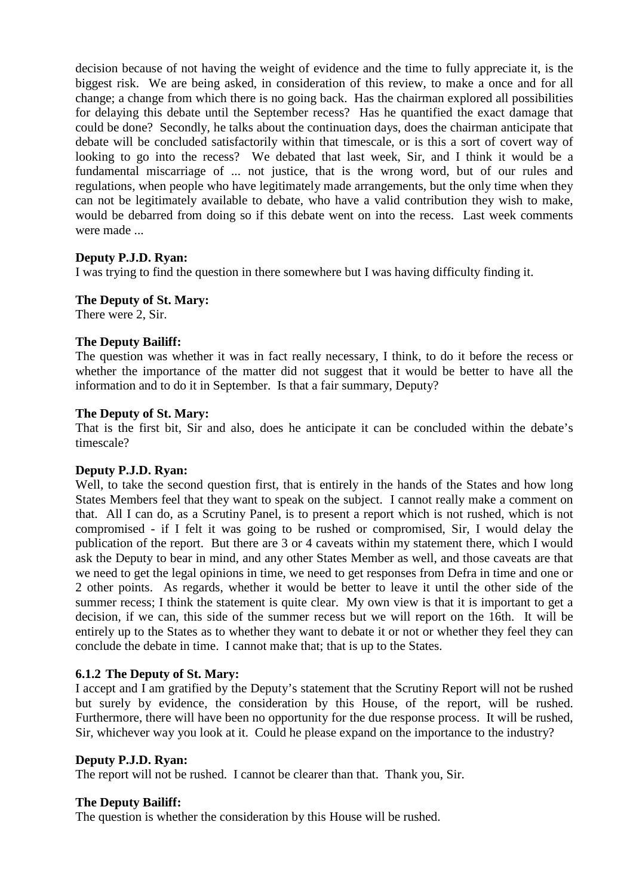decision because of not having the weight of evidence and the time to fully appreciate it, is the biggest risk. We are being asked, in consideration of this review, to make a once and for all change; a change from which there is no going back. Has the chairman explored all possibilities for delaying this debate until the September recess? Has he quantified the exact damage that could be done? Secondly, he talks about the continuation days, does the chairman anticipate that debate will be concluded satisfactorily within that timescale, or is this a sort of covert way of looking to go into the recess? We debated that last week, Sir, and I think it would be a fundamental miscarriage of ... not justice, that is the wrong word, but of our rules and regulations, when people who have legitimately made arrangements, but the only time when they can not be legitimately available to debate, who have a valid contribution they wish to make, would be debarred from doing so if this debate went on into the recess. Last week comments were made ...

## **Deputy P.J.D. Ryan:**

I was trying to find the question in there somewhere but I was having difficulty finding it.

## **The Deputy of St. Mary:**

There were 2, Sir.

## **The Deputy Bailiff:**

The question was whether it was in fact really necessary, I think, to do it before the recess or whether the importance of the matter did not suggest that it would be better to have all the information and to do it in September. Is that a fair summary, Deputy?

#### **The Deputy of St. Mary:**

That is the first bit, Sir and also, does he anticipate it can be concluded within the debate's timescale?

#### **Deputy P.J.D. Ryan:**

Well, to take the second question first, that is entirely in the hands of the States and how long States Members feel that they want to speak on the subject. I cannot really make a comment on that. All I can do, as a Scrutiny Panel, is to present a report which is not rushed, which is not compromised - if I felt it was going to be rushed or compromised, Sir, I would delay the publication of the report. But there are 3 or 4 caveats within my statement there, which I would ask the Deputy to bear in mind, and any other States Member as well, and those caveats are that we need to get the legal opinions in time, we need to get responses from Defra in time and one or 2 other points. As regards, whether it would be better to leave it until the other side of the summer recess; I think the statement is quite clear. My own view is that it is important to get a decision, if we can, this side of the summer recess but we will report on the 16th. It will be entirely up to the States as to whether they want to debate it or not or whether they feel they can conclude the debate in time. I cannot make that; that is up to the States.

#### **6.1.2 The Deputy of St. Mary:**

I accept and I am gratified by the Deputy's statement that the Scrutiny Report will not be rushed but surely by evidence, the consideration by this House, of the report, will be rushed. Furthermore, there will have been no opportunity for the due response process. It will be rushed, Sir, whichever way you look at it. Could he please expand on the importance to the industry?

#### **Deputy P.J.D. Ryan:**

The report will not be rushed. I cannot be clearer than that. Thank you, Sir.

#### **The Deputy Bailiff:**

The question is whether the consideration by this House will be rushed.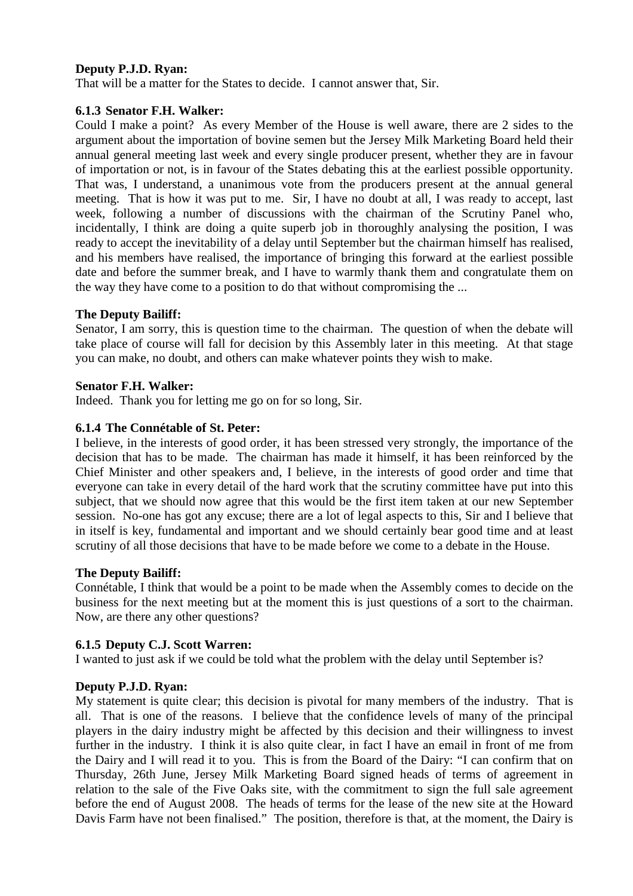## **Deputy P.J.D. Ryan:**

That will be a matter for the States to decide. I cannot answer that, Sir.

#### **6.1.3 Senator F.H. Walker:**

Could I make a point? As every Member of the House is well aware, there are 2 sides to the argument about the importation of bovine semen but the Jersey Milk Marketing Board held their annual general meeting last week and every single producer present, whether they are in favour of importation or not, is in favour of the States debating this at the earliest possible opportunity. That was, I understand, a unanimous vote from the producers present at the annual general meeting. That is how it was put to me. Sir, I have no doubt at all, I was ready to accept, last week, following a number of discussions with the chairman of the Scrutiny Panel who, incidentally, I think are doing a quite superb job in thoroughly analysing the position, I was ready to accept the inevitability of a delay until September but the chairman himself has realised, and his members have realised, the importance of bringing this forward at the earliest possible date and before the summer break, and I have to warmly thank them and congratulate them on the way they have come to a position to do that without compromising the ...

## **The Deputy Bailiff:**

Senator, I am sorry, this is question time to the chairman. The question of when the debate will take place of course will fall for decision by this Assembly later in this meeting. At that stage you can make, no doubt, and others can make whatever points they wish to make.

## **Senator F.H. Walker:**

Indeed. Thank you for letting me go on for so long, Sir.

## **6.1.4 The Connétable of St. Peter:**

I believe, in the interests of good order, it has been stressed very strongly, the importance of the decision that has to be made. The chairman has made it himself, it has been reinforced by the Chief Minister and other speakers and, I believe, in the interests of good order and time that everyone can take in every detail of the hard work that the scrutiny committee have put into this subject, that we should now agree that this would be the first item taken at our new September session. No-one has got any excuse; there are a lot of legal aspects to this, Sir and I believe that in itself is key, fundamental and important and we should certainly bear good time and at least scrutiny of all those decisions that have to be made before we come to a debate in the House.

#### **The Deputy Bailiff:**

Connétable, I think that would be a point to be made when the Assembly comes to decide on the business for the next meeting but at the moment this is just questions of a sort to the chairman. Now, are there any other questions?

# **6.1.5 Deputy C.J. Scott Warren:**

I wanted to just ask if we could be told what the problem with the delay until September is?

#### **Deputy P.J.D. Ryan:**

My statement is quite clear; this decision is pivotal for many members of the industry. That is all. That is one of the reasons. I believe that the confidence levels of many of the principal players in the dairy industry might be affected by this decision and their willingness to invest further in the industry. I think it is also quite clear, in fact I have an email in front of me from the Dairy and I will read it to you. This is from the Board of the Dairy: "I can confirm that on Thursday, 26th June, Jersey Milk Marketing Board signed heads of terms of agreement in relation to the sale of the Five Oaks site, with the commitment to sign the full sale agreement before the end of August 2008. The heads of terms for the lease of the new site at the Howard Davis Farm have not been finalised." The position, therefore is that, at the moment, the Dairy is